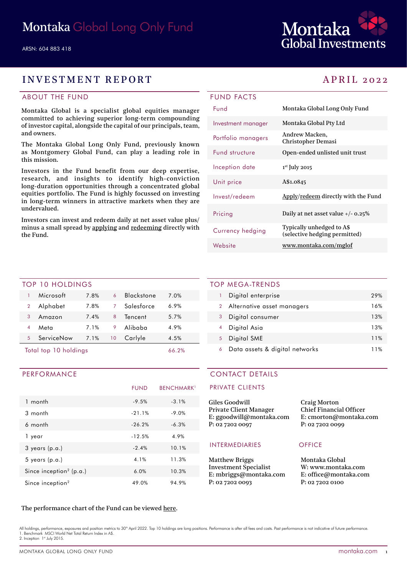

# INVESTMENT REPORT APRIL 2022

# ABOUT THE FUND

Montaka Global is a specialist global equities manager committed to achieving superior long-term compounding of investor capital, alongside the capital of our principals, team, and owners.

The Montaka Global Long Only Fund, previously known as Montgomery Global Fund, can play a leading role in this mission.

Investors in the Fund benefit from our deep expertise, research, and insights to identify high-conviction long-duration opportunities through a concentrated global equities portfolio. The Fund is highly focussed on investing in long-term winners in attractive markets when they are undervalued.

Investors can invest and redeem daily at net asset value plus/ minus a small spread by [applying](https://fundhost.olivia123.com/fundhost/montaka-global-long-only-fund.php) and [redeeming](https://fundhost.com.au/investor-login/) directly with the Fund.

| <b>FUND FACTS</b>  |                                                            |
|--------------------|------------------------------------------------------------|
| Fund               | Montaka Global Long Only Fund                              |
| Investment manager | Montaka Global Pty Ltd                                     |
| Portfolio managers | Andrew Macken,<br><b>Christopher Demasi</b>                |
| Fund structure     | Open-ended unlisted unit trust                             |
| Inception date     | $1st$ July 2015                                            |
| Unit price         | A\$1.0845                                                  |
| Invest/redeem      | Apply/redeem directly with the Fund                        |
| Pricing            | Daily at net asset value $+/- 0.25\%$                      |
| Currency hedging   | Typically unhedged to A\$<br>(selective hedging permitted) |
| Website            | www.montaka.com/mglof                                      |

### TOP 10 HOLDINGS

| Total top 10 holdings  |            |         |    | 66.2%             |      |
|------------------------|------------|---------|----|-------------------|------|
| 5                      | ServiceNow | 7.1%    | 10 | Carlyle           | 4.5% |
| $\boldsymbol{\Lambda}$ | Meta       | $7.1\%$ | 9  | Alibaba           | 4.9% |
| 3                      | Amazon     | 7.4%    | 8  | Tencent           | 5.7% |
| 2                      | Alphabet   | 7.8%    |    | Salesforce        | 6.9% |
|                        | Microsoft  | 7.8%    | 6  | <b>Blackstone</b> | 7.0% |
|                        |            |         |    |                   |      |

# PERFORMANCE

|                                     | <b>FUND</b> | <b>BENCHMARK</b> <sup>1</sup> |
|-------------------------------------|-------------|-------------------------------|
| 1 month                             | $-9.5%$     | $-3.1%$                       |
| $3$ month                           | $-21.1%$    | $-9.0%$                       |
| 6 month                             | $-26.2%$    | $-6.3%$                       |
| 1 year                              | $-12.5%$    | 4.9%                          |
| $3$ years $(p.a.)$                  | $-2.4%$     | 10.1%                         |
| $5$ years (p.a.)                    | 4.1%        | 11.3%                         |
| Since inception <sup>2</sup> (p.a.) | 6.0%        | 10.3%                         |
| Since inception <sup>2</sup>        | 49.0%       | 94.9%                         |

### TOP MEGA-TRENDS

|   | Digital enterprise             | 29%    |
|---|--------------------------------|--------|
| 2 | Alternative asset managers     | 16%    |
| 3 | Digital consumer               | 13%    |
|   | Digital Asia                   | 13%    |
| 5 | Digital SME                    | 11%    |
| 6 | Data assets & digital networks | $11\%$ |

### CONTACT DETAILS

### PRIVATE CLIENTS

| Giles Goodwill           | <b>Craig Morton</b>            |
|--------------------------|--------------------------------|
| Private Client Manager   | <b>Chief Financial Officer</b> |
| E: ggoodwill@montaka.com | E: cmorton@montaka.co          |
| P: 02 7202 0097          | P: 0272020099                  |
|                          |                                |

### INTERMEDIARIES OFFICE

Matthew Briggs Investment Specialist E: mbriggs@montaka.com P: 02 7202 0093

E: cmorton@montaka.com

Montaka Global W: [www.montaka.com](http://www.montaka.com) E: office@montaka.com P: 02 7202 0100

### The performance chart of the Fund can be viewed [here](https://montaka.com/our-philosophy/montaka-global-long-only/montaka-global-long-only-fund/).

All holdings, performance, exposures and position metrics to 30<sup>th</sup> April 2022. Top 10 holdings are long positions. Performance is after all fees and costs. Past performance is not indicative of future performance 1. Benchmark MSCI World Net Total Return Index in A\$. 2. Inception 1st July 2015.